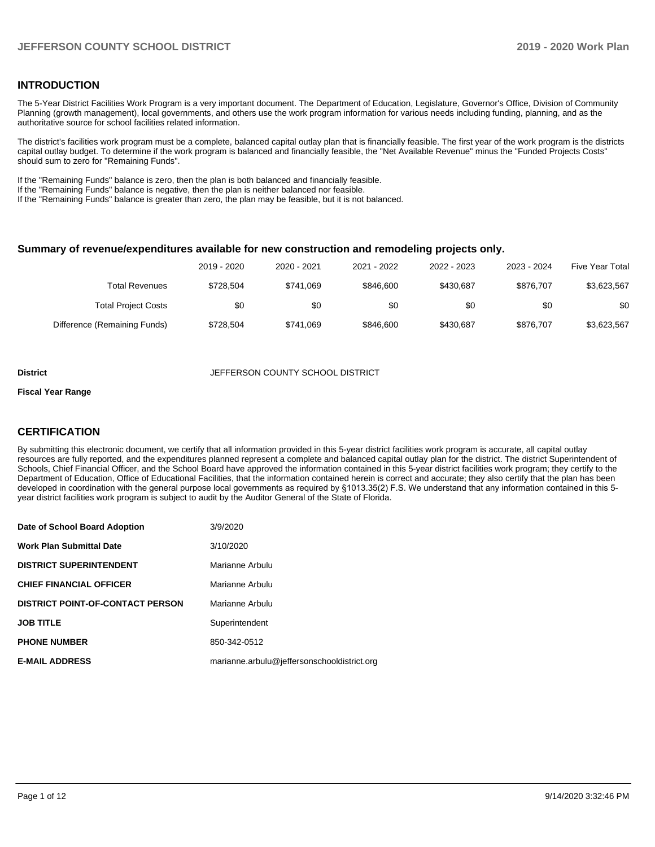## **INTRODUCTION**

The 5-Year District Facilities Work Program is a very important document. The Department of Education, Legislature, Governor's Office, Division of Community Planning (growth management), local governments, and others use the work program information for various needs including funding, planning, and as the authoritative source for school facilities related information.

The district's facilities work program must be a complete, balanced capital outlay plan that is financially feasible. The first year of the work program is the districts capital outlay budget. To determine if the work program is balanced and financially feasible, the "Net Available Revenue" minus the "Funded Projects Costs" should sum to zero for "Remaining Funds".

If the "Remaining Funds" balance is zero, then the plan is both balanced and financially feasible.

If the "Remaining Funds" balance is negative, then the plan is neither balanced nor feasible.

If the "Remaining Funds" balance is greater than zero, the plan may be feasible, but it is not balanced.

#### **Summary of revenue/expenditures available for new construction and remodeling projects only.**

| <b>Five Year Total</b> | 2023 - 2024 | 2022 - 2023 | 2021 - 2022 | 2020 - 2021 | 2019 - 2020 |                              |
|------------------------|-------------|-------------|-------------|-------------|-------------|------------------------------|
| \$3,623,567            | \$876,707   | \$430.687   | \$846,600   | \$741.069   | \$728.504   | Total Revenues               |
| \$0                    | \$0         | \$0         | \$0         | \$0         | \$0         | <b>Total Project Costs</b>   |
| \$3,623,567            | \$876,707   | \$430.687   | \$846,600   | \$741.069   | \$728.504   | Difference (Remaining Funds) |

#### **District COUNTY SCHOOL DISTRICT** JEFFERSON COUNTY SCHOOL DISTRICT

#### **Fiscal Year Range**

## **CERTIFICATION**

By submitting this electronic document, we certify that all information provided in this 5-year district facilities work program is accurate, all capital outlay resources are fully reported, and the expenditures planned represent a complete and balanced capital outlay plan for the district. The district Superintendent of Schools, Chief Financial Officer, and the School Board have approved the information contained in this 5-year district facilities work program; they certify to the Department of Education, Office of Educational Facilities, that the information contained herein is correct and accurate; they also certify that the plan has been developed in coordination with the general purpose local governments as required by §1013.35(2) F.S. We understand that any information contained in this 5 year district facilities work program is subject to audit by the Auditor General of the State of Florida.

| Date of School Board Adoption           | 3/9/2020                                    |
|-----------------------------------------|---------------------------------------------|
| <b>Work Plan Submittal Date</b>         | 3/10/2020                                   |
| <b>DISTRICT SUPERINTENDENT</b>          | Marianne Arbulu                             |
| <b>CHIEF FINANCIAL OFFICER</b>          | Marianne Arbulu                             |
| <b>DISTRICT POINT-OF-CONTACT PERSON</b> | Marianne Arbulu                             |
| <b>JOB TITLE</b>                        | Superintendent                              |
| <b>PHONE NUMBER</b>                     | 850-342-0512                                |
| <b>E-MAIL ADDRESS</b>                   | marianne.arbulu@jeffersonschooldistrict.org |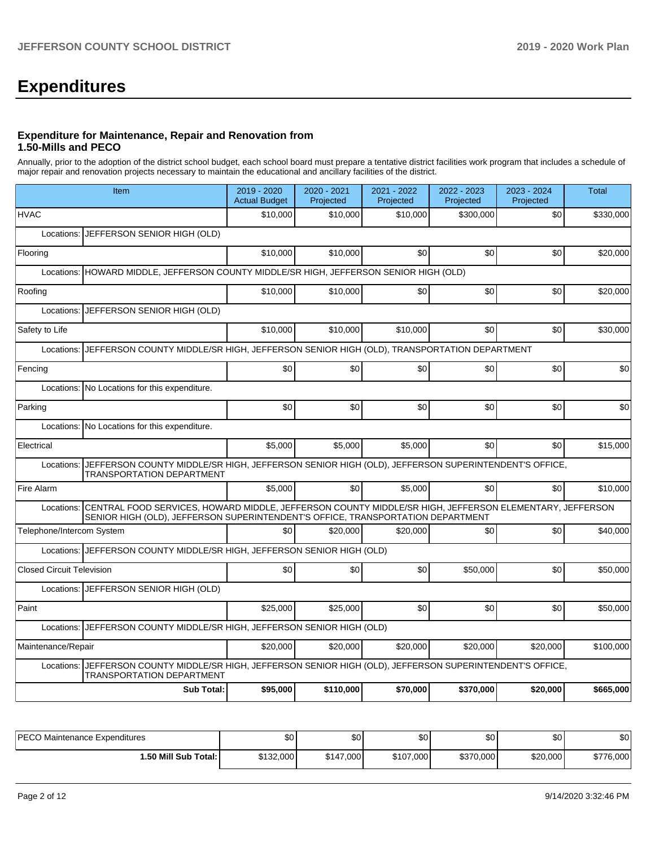# **Expenditures**

### **Expenditure for Maintenance, Repair and Renovation from 1.50-Mills and PECO**

Annually, prior to the adoption of the district school budget, each school board must prepare a tentative district facilities work program that includes a schedule of major repair and renovation projects necessary to maintain the educational and ancillary facilities of the district.

| Item                                                                                                                                                                                                    | 2019 - 2020<br><b>Actual Budget</b> | 2020 - 2021<br>Projected | 2021 - 2022<br>Projected | 2022 - 2023<br>Projected | 2023 - 2024<br>Projected | <b>Total</b> |
|---------------------------------------------------------------------------------------------------------------------------------------------------------------------------------------------------------|-------------------------------------|--------------------------|--------------------------|--------------------------|--------------------------|--------------|
| <b>HVAC</b>                                                                                                                                                                                             | \$10,000                            | \$10.000                 | \$10,000                 | \$300,000                | \$0                      | \$330,000    |
| JEFFERSON SENIOR HIGH (OLD)<br>Locations:                                                                                                                                                               |                                     |                          |                          |                          |                          |              |
| Flooring                                                                                                                                                                                                | \$10,000                            | \$10,000                 | \$0                      | \$0                      | \$0                      | \$20,000     |
| HOWARD MIDDLE, JEFFERSON COUNTY MIDDLE/SR HIGH, JEFFERSON SENIOR HIGH (OLD)<br>Locations:                                                                                                               |                                     |                          |                          |                          |                          |              |
| Roofing                                                                                                                                                                                                 | \$10,000                            | \$10,000                 | \$0                      | \$0                      | \$0                      | \$20,000     |
| Locations:<br>JEFFERSON SENIOR HIGH (OLD)                                                                                                                                                               |                                     |                          |                          |                          |                          |              |
| Safety to Life                                                                                                                                                                                          | \$10,000                            | \$10,000                 | \$10,000                 | \$0 <sub>1</sub>         | \$0                      | \$30,000     |
| JEFFERSON COUNTY MIDDLE/SR HIGH, JEFFERSON SENIOR HIGH (OLD), TRANSPORTATION DEPARTMENT<br>Locations:                                                                                                   |                                     |                          |                          |                          |                          |              |
| Fencing                                                                                                                                                                                                 | \$0                                 | \$0                      | \$0                      | \$0                      | \$0                      | \$0          |
| Locations:<br>No Locations for this expenditure.                                                                                                                                                        |                                     |                          |                          |                          |                          |              |
| Parking                                                                                                                                                                                                 | \$0                                 | \$0                      | \$0                      | \$0 <sub>1</sub>         | \$0                      | \$0          |
| Locations: No Locations for this expenditure.                                                                                                                                                           |                                     |                          |                          |                          |                          |              |
| Electrical                                                                                                                                                                                              | \$5.000                             | \$5,000                  | \$5.000                  | \$0 <sub>1</sub>         | \$0                      | \$15,000     |
| JEFFERSON COUNTY MIDDLE/SR HIGH, JEFFERSON SENIOR HIGH (OLD), JEFFERSON SUPERINTENDENT'S OFFICE,<br>Locations:<br><b>TRANSPORTATION DEPARTMENT</b>                                                      |                                     |                          |                          |                          |                          |              |
| Fire Alarm                                                                                                                                                                                              | \$5.000                             | \$0                      | \$5,000                  | \$0 <sub>1</sub>         | \$0                      | \$10.000     |
| CENTRAL FOOD SERVICES, HOWARD MIDDLE, JEFFERSON COUNTY MIDDLE/SR HIGH, JEFFERSON ELEMENTARY, JEFFERSON<br>Locations:<br>SENIOR HIGH (OLD), JEFFERSON SUPERINTENDENT'S OFFICE, TRANSPORTATION DEPARTMENT |                                     |                          |                          |                          |                          |              |
| Telephone/Intercom System                                                                                                                                                                               | \$0                                 | \$20,000                 | \$20,000                 | \$0                      | \$0                      | \$40,000     |
| JEFFERSON COUNTY MIDDLE/SR HIGH, JEFFERSON SENIOR HIGH (OLD)<br>Locations:                                                                                                                              |                                     |                          |                          |                          |                          |              |
| <b>Closed Circuit Television</b>                                                                                                                                                                        | \$0                                 | \$0                      | \$0                      | \$50,000                 | \$0                      | \$50,000     |
| Locations: JEFFERSON SENIOR HIGH (OLD)                                                                                                                                                                  |                                     |                          |                          |                          |                          |              |
| Paint                                                                                                                                                                                                   | \$25,000                            | \$25.000                 | \$0                      | \$0                      | \$0                      | \$50,000     |
| JEFFERSON COUNTY MIDDLE/SR HIGH, JEFFERSON SENIOR HIGH (OLD)<br>Locations:                                                                                                                              |                                     |                          |                          |                          |                          |              |
| Maintenance/Repair                                                                                                                                                                                      | \$20,000                            | \$20,000                 | \$20,000                 | \$20,000                 | \$20,000                 | \$100,000    |
| JEFFERSON COUNTY MIDDLE/SR HIGH, JEFFERSON SENIOR HIGH (OLD), JEFFERSON SUPERINTENDENT'S OFFICE,<br>Locations:<br><b>TRANSPORTATION DEPARTMENT</b>                                                      |                                     |                          |                          |                          |                          |              |
| <b>Sub Total:</b>                                                                                                                                                                                       | \$95,000                            | \$110,000                | \$70,000                 | \$370,000                | \$20,000                 | \$665,000    |

| <b>IPECO Maintenance Expenditures</b> | $\sim$<br>טע | \$0       | ΦΩ<br>w   | \$0       | \$0      | \$0                       |
|---------------------------------------|--------------|-----------|-----------|-----------|----------|---------------------------|
| l.50 Mill Sub Total:                  | \$132,000    | \$147,000 | \$107,000 | \$370,000 | \$20,000 | \$776,000<br>$\mathbf{v}$ |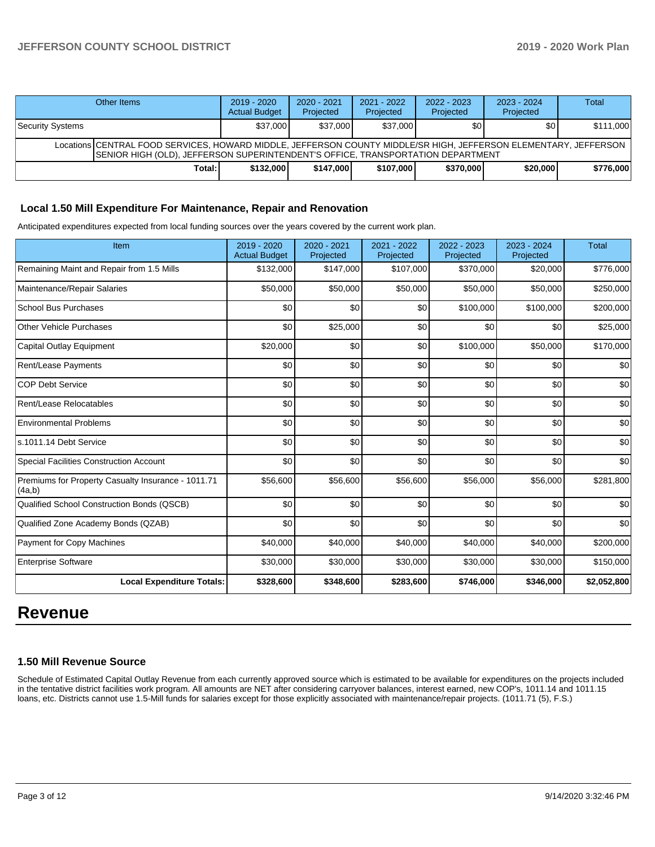## **JEFFERSON COUNTY SCHOOL DISTRICT 2019 - 2020 Work Plan**

| Other Items                                                                                                                                                                                         | $2019 - 2020$<br><b>Actual Budget</b> | $2020 - 2021$<br>Projected | $2021 - 2022$<br>Projected | $2022 - 2023$<br>Projected | $2023 - 2024$<br>Projected | Total     |  |  |
|-----------------------------------------------------------------------------------------------------------------------------------------------------------------------------------------------------|---------------------------------------|----------------------------|----------------------------|----------------------------|----------------------------|-----------|--|--|
| Security Systems                                                                                                                                                                                    | \$37,000                              | \$37,000                   | \$37,000                   | \$0                        | \$0 <sub>1</sub>           | \$111,000 |  |  |
| Locations CENTRAL FOOD SERVICES, HOWARD MIDDLE, JEFFERSON COUNTY MIDDLE/SR HIGH, JEFFERSON ELEMENTARY, JEFFERSON<br>SENIOR HIGH (OLD), JEFFERSON SUPERINTENDENT'S OFFICE, TRANSPORTATION DEPARTMENT |                                       |                            |                            |                            |                            |           |  |  |
| Total: I                                                                                                                                                                                            | \$132,000                             | \$147,000                  | \$107,000                  | \$370,000                  | \$20,000                   | \$776,000 |  |  |

#### **Local 1.50 Mill Expenditure For Maintenance, Repair and Renovation**

Anticipated expenditures expected from local funding sources over the years covered by the current work plan.

| Item                                                         | 2019 - 2020<br><b>Actual Budget</b> | 2020 - 2021<br>Projected | 2021 - 2022<br>Projected | 2022 - 2023<br>Projected | 2023 - 2024<br>Projected | <b>Total</b> |
|--------------------------------------------------------------|-------------------------------------|--------------------------|--------------------------|--------------------------|--------------------------|--------------|
| Remaining Maint and Repair from 1.5 Mills                    | \$132,000                           | \$147,000                | \$107,000                | \$370,000                | \$20,000                 | \$776,000    |
| Maintenance/Repair Salaries                                  | \$50,000                            | \$50,000                 | \$50,000                 | \$50,000                 | \$50,000                 | \$250,000    |
| <b>School Bus Purchases</b>                                  | \$0                                 | \$0                      | \$0                      | \$100,000                | \$100,000                | \$200,000    |
| <b>Other Vehicle Purchases</b>                               | \$0                                 | \$25,000                 | \$0                      | \$0                      | \$0                      | \$25,000     |
| <b>Capital Outlay Equipment</b>                              | \$20,000                            | \$0                      | \$0                      | \$100,000                | \$50,000                 | \$170,000    |
| <b>Rent/Lease Payments</b>                                   | \$0                                 | \$0                      | \$0                      | \$0                      | \$0                      | \$0          |
| <b>COP Debt Service</b>                                      | \$0                                 | \$0                      | \$0                      | \$0                      | \$0                      | \$0          |
| Rent/Lease Relocatables                                      | \$0                                 | \$0                      | \$0                      | \$0                      | \$0                      | \$0          |
| <b>Environmental Problems</b>                                | \$0                                 | \$0                      | \$0                      | \$0                      | \$0                      | \$0          |
| s.1011.14 Debt Service                                       | \$0                                 | \$0                      | \$0                      | \$0                      | \$0                      | \$0          |
| <b>Special Facilities Construction Account</b>               | \$0                                 | \$0                      | \$0                      | \$0                      | \$0                      | \$0          |
| Premiums for Property Casualty Insurance - 1011.71<br>(4a,b) | \$56,600                            | \$56,600                 | \$56,600                 | \$56,000                 | \$56,000                 | \$281,800    |
| Qualified School Construction Bonds (QSCB)                   | \$0                                 | \$0                      | \$0                      | \$0                      | \$0                      | \$0          |
| Qualified Zone Academy Bonds (QZAB)                          | \$0                                 | \$0                      | \$0                      | \$0                      | \$0                      | \$0          |
| Payment for Copy Machines                                    | \$40,000                            | \$40,000                 | \$40,000                 | \$40,000                 | \$40,000                 | \$200,000    |
| <b>Enterprise Software</b>                                   | \$30,000                            | \$30,000                 | \$30,000                 | \$30,000                 | \$30,000                 | \$150,000    |
| <b>Local Expenditure Totals:</b>                             | \$328,600                           | \$348,600                | \$283,600                | \$746,000                | \$346,000                | \$2,052,800  |

## **Revenue**

#### **1.50 Mill Revenue Source**

Schedule of Estimated Capital Outlay Revenue from each currently approved source which is estimated to be available for expenditures on the projects included in the tentative district facilities work program. All amounts are NET after considering carryover balances, interest earned, new COP's, 1011.14 and 1011.15 loans, etc. Districts cannot use 1.5-Mill funds for salaries except for those explicitly associated with maintenance/repair projects. (1011.71 (5), F.S.)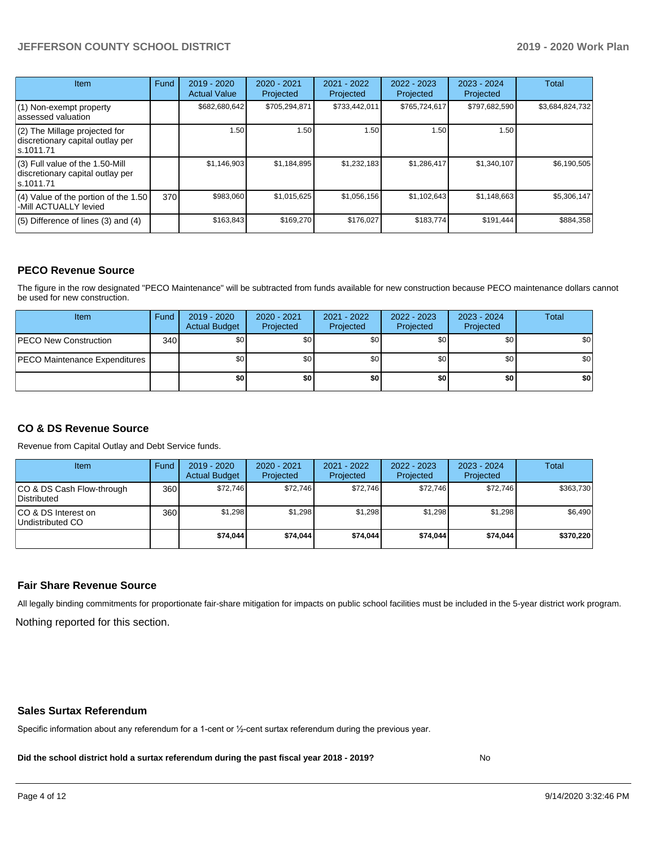## **JEFFERSON COUNTY SCHOOL DISTRICT 2019 - 2020 Work Plan**

| Item                                                                                | Fund | $2019 - 2020$<br><b>Actual Value</b> | 2020 - 2021<br>Projected | $2021 - 2022$<br>Projected | 2022 - 2023<br>Projected | $2023 - 2024$<br>Projected | Total           |
|-------------------------------------------------------------------------------------|------|--------------------------------------|--------------------------|----------------------------|--------------------------|----------------------------|-----------------|
| (1) Non-exempt property<br>lassessed valuation                                      |      | \$682,680,642                        | \$705,294,871            | \$733,442,011              | \$765,724,617            | \$797,682,590              | \$3,684,824,732 |
| $(2)$ The Millage projected for<br>discretionary capital outlay per<br>ls.1011.71   |      | 1.50                                 | 1.50                     | 1.50                       | 1.50                     | 1.50                       |                 |
| $(3)$ Full value of the 1.50-Mill<br>discretionary capital outlay per<br>ls.1011.71 |      | \$1,146,903                          | \$1,184,895              | \$1,232,183                | \$1,286,417              | \$1,340,107                | \$6,190,505     |
| (4) Value of the portion of the 1.50<br>-Mill ACTUALLY levied                       | 370I | \$983,060                            | \$1,015,625              | \$1,056,156                | \$1,102,643              | \$1,148,663                | \$5,306,147     |
| $(5)$ Difference of lines (3) and (4)                                               |      | \$163,843                            | \$169,270                | \$176,027                  | \$183,774                | \$191,444                  | \$884,358       |

## **PECO Revenue Source**

The figure in the row designated "PECO Maintenance" will be subtracted from funds available for new construction because PECO maintenance dollars cannot be used for new construction.

| Item                                 | Fund | 2019 - 2020<br><b>Actual Budget</b> | 2020 - 2021<br>Projected | 2021 - 2022<br>Projected | $2022 - 2023$<br>Projected | 2023 - 2024<br>Projected | Total            |
|--------------------------------------|------|-------------------------------------|--------------------------|--------------------------|----------------------------|--------------------------|------------------|
| <b>IPECO New Construction</b>        | 340  | \$0                                 | \$0                      | \$0                      | \$0 <sub>1</sub>           | \$0                      | \$0 <sub>1</sub> |
| <b>PECO Maintenance Expenditures</b> |      | ا 30                                | \$0                      | \$0                      | \$0 <sub>1</sub>           | \$0                      | \$0 <sub>1</sub> |
|                                      |      | \$0                                 | \$0                      | \$0                      | \$0                        | \$0                      | \$0              |

## **CO & DS Revenue Source**

Revenue from Capital Outlay and Debt Service funds.

| Item                                      | Fund | 2019 - 2020<br><b>Actual Budget</b> | 2020 - 2021<br>Projected | 2021 - 2022<br>Projected | 2022 - 2023<br>Projected | $2023 - 2024$<br>Projected | Total     |
|-------------------------------------------|------|-------------------------------------|--------------------------|--------------------------|--------------------------|----------------------------|-----------|
| ICO & DS Cash Flow-through<br>Distributed | 360  | \$72.746                            | \$72.746                 | \$72.746                 | \$72.746                 | \$72.746                   | \$363,730 |
| ICO & DS Interest on<br>Undistributed CO  | 360  | \$1.298                             | \$1,298                  | \$1.298                  | \$1.298                  | \$1,298                    | \$6,490   |
|                                           |      | \$74.044                            | \$74.044                 | \$74.044                 | \$74.044                 | \$74.044                   | \$370,220 |

#### **Fair Share Revenue Source**

Nothing reported for this section. All legally binding commitments for proportionate fair-share mitigation for impacts on public school facilities must be included in the 5-year district work program.

#### **Sales Surtax Referendum**

Specific information about any referendum for a 1-cent or ½-cent surtax referendum during the previous year.

**Did the school district hold a surtax referendum during the past fiscal year 2018 - 2019?**

No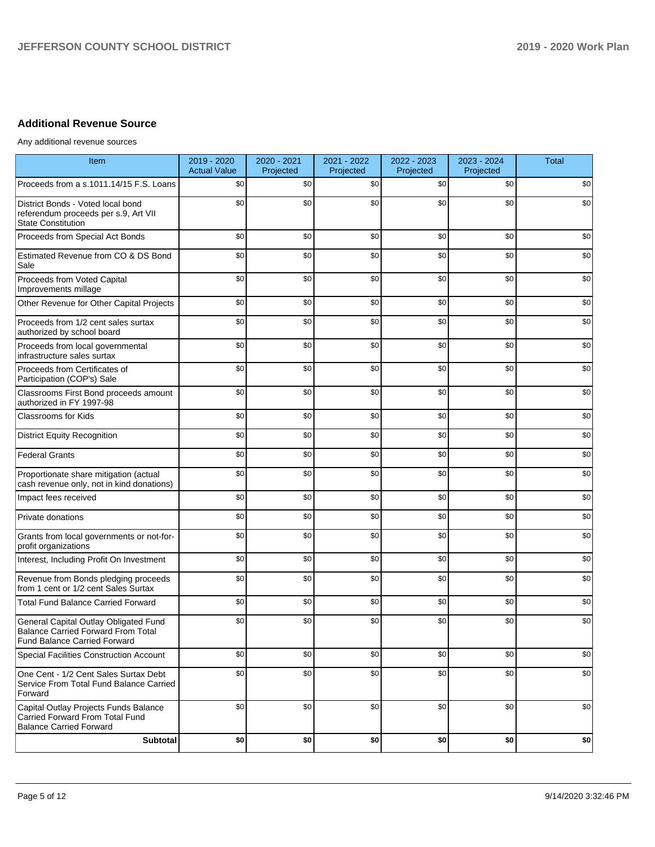## **Additional Revenue Source**

Any additional revenue sources

| Item                                                                                                                      | 2019 - 2020<br><b>Actual Value</b> | 2020 - 2021<br>Projected | 2021 - 2022<br>Projected | 2022 - 2023<br>Projected | 2023 - 2024<br>Projected | <b>Total</b> |
|---------------------------------------------------------------------------------------------------------------------------|------------------------------------|--------------------------|--------------------------|--------------------------|--------------------------|--------------|
| Proceeds from a s.1011.14/15 F.S. Loans                                                                                   | \$0                                | \$0                      | \$0                      | \$0                      | \$0                      | \$0          |
| District Bonds - Voted local bond<br>referendum proceeds per s.9, Art VII<br><b>State Constitution</b>                    | \$0                                | \$0                      | \$0                      | \$0                      | \$0                      | \$0          |
| Proceeds from Special Act Bonds                                                                                           | \$0                                | \$0                      | \$0                      | \$0                      | \$0                      | \$0          |
| Estimated Revenue from CO & DS Bond<br>Sale                                                                               | \$0                                | \$0                      | \$0                      | \$0                      | \$0                      | \$0          |
| Proceeds from Voted Capital<br>Improvements millage                                                                       | \$0                                | \$0                      | \$0                      | \$0                      | \$0                      | \$0          |
| Other Revenue for Other Capital Projects                                                                                  | \$0                                | \$0                      | \$0                      | \$0                      | \$0                      | \$0          |
| Proceeds from 1/2 cent sales surtax<br>authorized by school board                                                         | \$0                                | \$0                      | \$0                      | \$0                      | \$0                      | \$0          |
| Proceeds from local governmental<br>infrastructure sales surtax                                                           | \$0                                | \$0                      | \$0                      | \$0                      | \$0                      | \$0          |
| Proceeds from Certificates of<br>Participation (COP's) Sale                                                               | \$0                                | \$0                      | \$0                      | \$0                      | \$0                      | \$0          |
| Classrooms First Bond proceeds amount<br>authorized in FY 1997-98                                                         | \$0                                | \$0                      | \$0                      | \$0                      | \$0                      | \$0          |
| <b>Classrooms for Kids</b>                                                                                                | \$0                                | \$0                      | \$0                      | \$0                      | \$0                      | \$0          |
| <b>District Equity Recognition</b>                                                                                        | \$0                                | \$0                      | \$0                      | \$0                      | \$0                      | \$0          |
| <b>Federal Grants</b>                                                                                                     | \$0                                | \$0                      | \$0                      | \$0                      | \$0                      | \$0          |
| Proportionate share mitigation (actual<br>cash revenue only, not in kind donations)                                       | \$0                                | \$0                      | \$0                      | \$0                      | \$0                      | \$0          |
| Impact fees received                                                                                                      | \$0                                | \$0                      | \$0                      | \$0                      | \$0                      | \$0          |
| Private donations                                                                                                         | \$0                                | \$0                      | \$0                      | \$0                      | \$0                      | \$0          |
| Grants from local governments or not-for-<br>profit organizations                                                         | \$0                                | \$0                      | \$0                      | \$0                      | \$0                      | \$0          |
| Interest, Including Profit On Investment                                                                                  | \$0                                | \$0                      | \$0                      | \$0                      | \$0                      | \$0          |
| Revenue from Bonds pledging proceeds<br>from 1 cent or 1/2 cent Sales Surtax                                              | \$0                                | \$0                      | \$0                      | \$0                      | \$0                      | \$0          |
| <b>Total Fund Balance Carried Forward</b>                                                                                 | \$0                                | \$0                      | \$0                      | \$0                      | \$0                      | \$0          |
| General Capital Outlay Obligated Fund<br><b>Balance Carried Forward From Total</b><br><b>Fund Balance Carried Forward</b> | \$0                                | \$0                      | \$0                      | \$0                      | \$0                      | \$0          |
| Special Facilities Construction Account                                                                                   | \$0                                | \$0                      | \$0                      | \$0                      | \$0                      | \$0          |
| One Cent - 1/2 Cent Sales Surtax Debt<br>Service From Total Fund Balance Carried<br>Forward                               | \$0                                | \$0                      | \$0                      | \$0                      | \$0                      | \$0          |
| Capital Outlay Projects Funds Balance<br>Carried Forward From Total Fund<br><b>Balance Carried Forward</b>                | \$0                                | \$0                      | \$0                      | \$0                      | \$0                      | \$0          |
| Subtotal                                                                                                                  | \$0                                | \$0                      | \$0                      | \$0                      | \$0                      | \$0          |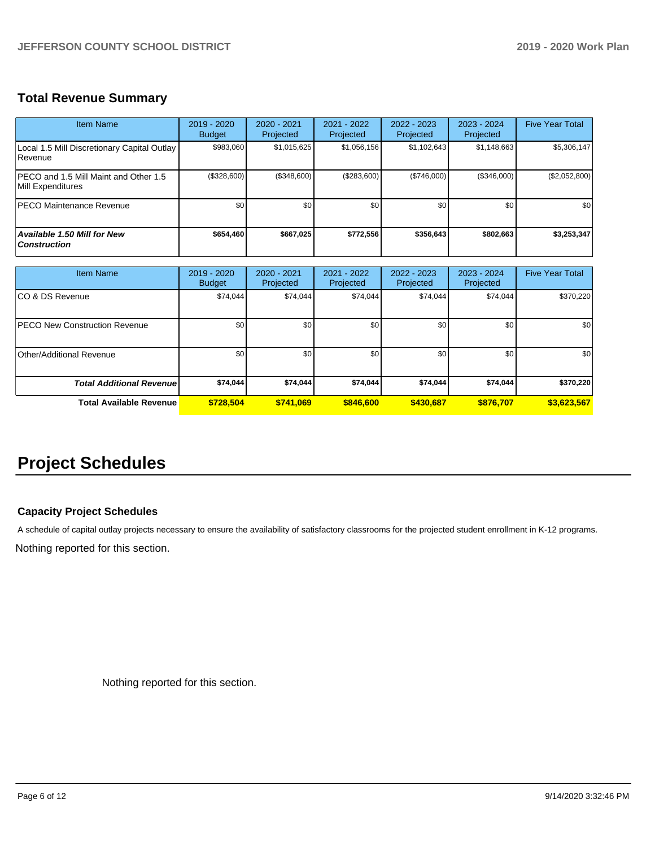## **Total Revenue Summary**

| <b>Item Name</b>                                              | 2019 - 2020<br><b>Budget</b> | $2020 - 2021$<br>Projected | 2021 - 2022<br>Projected | 2022 - 2023<br>Projected | $2023 - 2024$<br>Projected | <b>Five Year Total</b> |
|---------------------------------------------------------------|------------------------------|----------------------------|--------------------------|--------------------------|----------------------------|------------------------|
| Local 1.5 Mill Discretionary Capital Outlay<br><b>Revenue</b> | \$983,060                    | \$1,015,625                | \$1,056,156              | \$1,102,643              | \$1,148,663                | \$5,306,147            |
| IPECO and 1.5 Mill Maint and Other 1.5<br>Mill Expenditures   | (\$328,600)                  | (\$348,600)                | (S283.600)               | (S746.000)               | (S346.000)                 | (\$2,052,800)          |
| IPECO Maintenance Revenue                                     | \$0 <sub>1</sub>             | \$0                        | \$0                      | \$0                      | \$0                        | \$0                    |
| <b>Available 1.50 Mill for New</b><br><b>Construction</b>     | \$654,460                    | \$667,025                  | \$772.556                | \$356,643                | \$802,663                  | \$3,253,347            |

| <b>Item Name</b>                     | 2019 - 2020<br><b>Budget</b> | $2020 - 2021$<br>Projected | 2021 - 2022<br>Projected | 2022 - 2023<br>Projected | 2023 - 2024<br>Projected | <b>Five Year Total</b> |
|--------------------------------------|------------------------------|----------------------------|--------------------------|--------------------------|--------------------------|------------------------|
| ICO & DS Revenue                     | \$74,044                     | \$74,044                   | \$74,044                 | \$74,044                 | \$74,044                 | \$370,220              |
| <b>PECO New Construction Revenue</b> | \$0                          | \$0 <sub>1</sub>           | \$0                      | \$0                      | \$0                      | \$0                    |
| Other/Additional Revenue             | \$0 <sub>1</sub>             | \$0 <sub>1</sub>           | \$0                      | \$0                      | \$0                      | \$0                    |
| <b>Total Additional Revenuel</b>     | \$74,044                     | \$74.044                   | \$74,044                 | \$74,044                 | \$74,044                 | \$370,220              |
| Total Available Revenue              | \$728,504                    | \$741.069                  | \$846,600                | \$430,687                | \$876,707                | \$3,623,567            |

## **Project Schedules**

## **Capacity Project Schedules**

A schedule of capital outlay projects necessary to ensure the availability of satisfactory classrooms for the projected student enrollment in K-12 programs.

Nothing reported for this section.

Nothing reported for this section.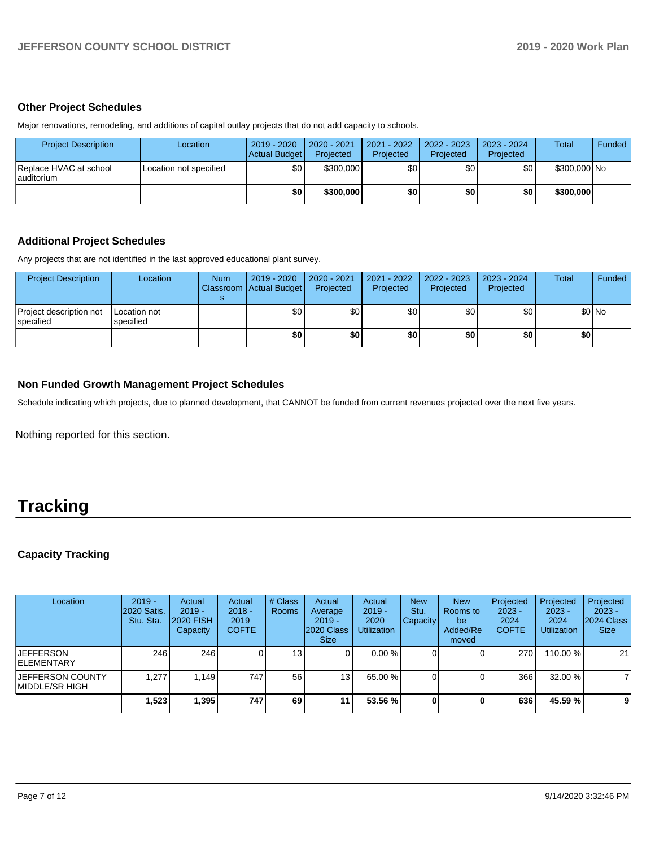### **Other Project Schedules**

Major renovations, remodeling, and additions of capital outlay projects that do not add capacity to schools.

| <b>Project Description</b>            | Location               | 2019 - 2020<br>Actual Budget | 2020 - 2021<br>Projected | 2021 - 2022<br>Projected | 2022 - 2023<br>Projected | 2023 - 2024<br>Projected | Total        | <b>Funded</b> |
|---------------------------------------|------------------------|------------------------------|--------------------------|--------------------------|--------------------------|--------------------------|--------------|---------------|
| Replace HVAC at school<br>lauditorium | Location not specified | \$0                          | \$300,000                | \$0                      | \$٥                      | \$0                      | \$300,000 No |               |
|                                       |                        | \$0                          | \$300,000                | \$0                      | \$0 I                    | \$0                      | \$300,000    |               |

## **Additional Project Schedules**

Any projects that are not identified in the last approved educational plant survey.

| <b>Project Description</b>                   | Location                  | <b>Num</b> | 2019 - 2020<br>Classroom Actual Budget | 2020 - 2021<br>Projected | 2021 - 2022<br>Projected | 2022 - 2023<br>Projected | 2023 - 2024<br>Projected | Total | Funded  |
|----------------------------------------------|---------------------------|------------|----------------------------------------|--------------------------|--------------------------|--------------------------|--------------------------|-------|---------|
| Project description not<br><b>Ispecified</b> | Location not<br>specified |            | \$0                                    | \$0                      | \$0                      | \$0                      | \$0                      |       | $$0$ No |
|                                              |                           |            | \$0                                    | \$0                      | \$0                      | \$0                      | \$0                      | \$0   |         |

## **Non Funded Growth Management Project Schedules**

Schedule indicating which projects, due to planned development, that CANNOT be funded from current revenues projected over the next five years.

Nothing reported for this section.

# **Tracking**

## **Capacity Tracking**

| Location                                   | $2019 -$<br>2020 Satis.<br>Stu. Sta. | Actual<br>$2019 -$<br><b>2020 FISH</b><br>Capacity | Actual<br>$2018 -$<br>2019<br><b>COFTE</b> | # Class<br>Rooms | Actual<br>Average<br>$2019 -$<br>2020 Class<br><b>Size</b> | Actual<br>$2019 -$<br>2020<br><b>Utilization</b> | <b>New</b><br>Stu.<br>Capacity | <b>New</b><br>Rooms to<br>be<br>Added/Re<br>moved | Projected<br>$2023 -$<br>2024<br><b>COFTE</b> | Projected<br>$2023 -$<br>2024<br><b>Utilization</b> | Projected<br>$2023 -$<br>2024 Class<br><b>Size</b> |
|--------------------------------------------|--------------------------------------|----------------------------------------------------|--------------------------------------------|------------------|------------------------------------------------------------|--------------------------------------------------|--------------------------------|---------------------------------------------------|-----------------------------------------------|-----------------------------------------------------|----------------------------------------------------|
| <b>JEFFERSON</b><br><b>IELEMENTARY</b>     | 246                                  | 246                                                |                                            | 13 <sup>1</sup>  |                                                            | $0.00 \%$                                        |                                |                                                   | 270                                           | 110.00 %                                            | 21                                                 |
| <b>JEFFERSON COUNTY</b><br>IMIDDLE/SR HIGH | 1.277                                | 1.149                                              | 747                                        | 56 I             | 13 <sub>1</sub>                                            | 65.00 %                                          |                                |                                                   | 366                                           | 32.00 %                                             | $\overline{7}$                                     |
|                                            | 1,523                                | 1,395                                              | 747                                        | 69               | 11                                                         | 53.56 %                                          |                                |                                                   | 636                                           | 45.59 %                                             | $\overline{9}$                                     |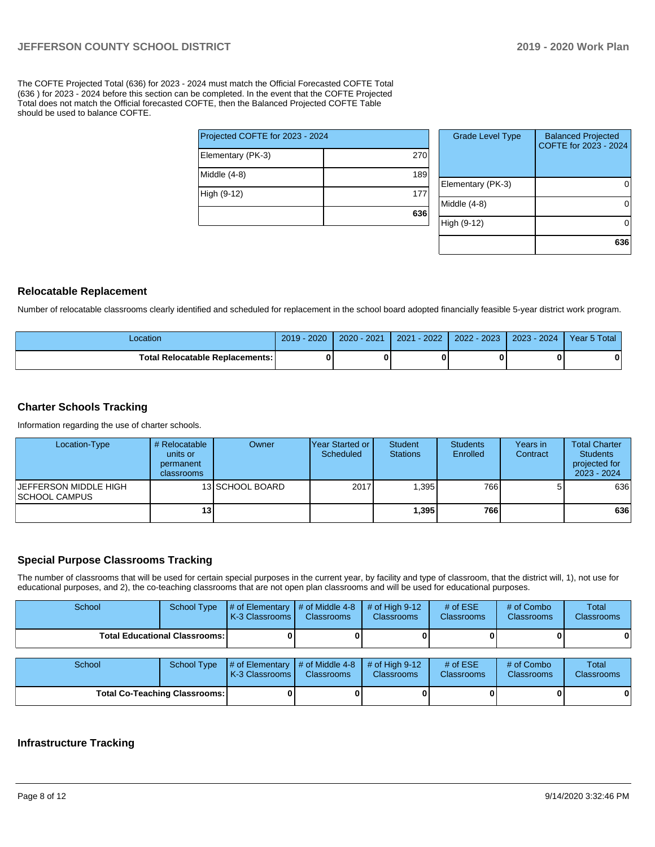The COFTE Projected Total (636) for 2023 - 2024 must match the Official Forecasted COFTE Total (636 ) for 2023 - 2024 before this section can be completed. In the event that the COFTE Projected Total does not match the Official forecasted COFTE, then the Balanced Projected COFTE Table should be used to balance COFTE.

| Projected COFTE for 2023 - 2024 |  |  |  |  |  |  |
|---------------------------------|--|--|--|--|--|--|
| 270                             |  |  |  |  |  |  |
| 189                             |  |  |  |  |  |  |
| 177                             |  |  |  |  |  |  |
| 636                             |  |  |  |  |  |  |
|                                 |  |  |  |  |  |  |

| <b>Grade Level Type</b> | <b>Balanced Projected</b><br>COFTE for 2023 - 2024 |
|-------------------------|----------------------------------------------------|
| Elementary (PK-3)       |                                                    |
| Middle (4-8)            |                                                    |
| High (9-12)             |                                                    |
|                         | 636                                                |

#### **Relocatable Replacement**

Number of relocatable classrooms clearly identified and scheduled for replacement in the school board adopted financially feasible 5-year district work program.

| Location                                 | $-2020$<br>2019 | 2020 - 2021 | $-2022$<br>2021 | 2022 - 2023 | $2023 - 2024$ | Year 5 Total |
|------------------------------------------|-----------------|-------------|-----------------|-------------|---------------|--------------|
| <b>Total Relocatable Replacements: I</b> |                 |             |                 |             |               |              |

#### **Charter Schools Tracking**

Information regarding the use of charter schools.

| Location-Type                                         | # Relocatable<br>units or<br>permanent<br>classrooms | Owner           | IYear Started or<br>Scheduled | <b>Student</b><br><b>Stations</b> | <b>Students</b><br>Enrolled | Years in<br>Contract | <b>Total Charter</b><br><b>Students</b><br>projected for<br>$2023 - 2024$ |
|-------------------------------------------------------|------------------------------------------------------|-----------------|-------------------------------|-----------------------------------|-----------------------------|----------------------|---------------------------------------------------------------------------|
| <b>JEFFERSON MIDDLE HIGH</b><br><b>ISCHOOL CAMPUS</b> |                                                      | 13 SCHOOL BOARD | 2017                          | .395                              | 766                         |                      | 636                                                                       |
|                                                       | 13 <sub>1</sub>                                      |                 |                               | 1,395                             | 766                         |                      | 636                                                                       |

## **Special Purpose Classrooms Tracking**

The number of classrooms that will be used for certain special purposes in the current year, by facility and type of classroom, that the district will, 1), not use for educational purposes, and 2), the co-teaching classrooms that are not open plan classrooms and will be used for educational purposes.

| School                                 | School Type | $\parallel$ # of Elementary $\parallel$ # of Middle 4-8 $\parallel$ # of High 9-12<br><b>K-3 Classrooms I</b> | <b>Classrooms</b> | <b>Classrooms</b> | # of $ESE$<br><b>Classrooms</b> | # of Combo<br><b>Classrooms</b> | Total<br><b>Classrooms</b> |
|----------------------------------------|-------------|---------------------------------------------------------------------------------------------------------------|-------------------|-------------------|---------------------------------|---------------------------------|----------------------------|
| <b>Total Educational Classrooms: I</b> |             |                                                                                                               |                   |                   |                                 | 0                               |                            |

| <b>School</b>                        |  | School Type $\frac{4}{5}$ of Elementary $\frac{4}{5}$ of Middle 4-8 $\frac{4}{5}$ # of High 9-12<br><b>K-3 Classrooms I</b> | <b>Classrooms</b> | <b>Classrooms</b> | # of $ESE$<br><b>Classrooms</b> | # of Combo<br><b>Classrooms</b> | Total<br><b>Classrooms</b> |
|--------------------------------------|--|-----------------------------------------------------------------------------------------------------------------------------|-------------------|-------------------|---------------------------------|---------------------------------|----------------------------|
| <b>Total Co-Teaching Classrooms:</b> |  |                                                                                                                             |                   |                   |                                 | 0                               |                            |

#### **Infrastructure Tracking**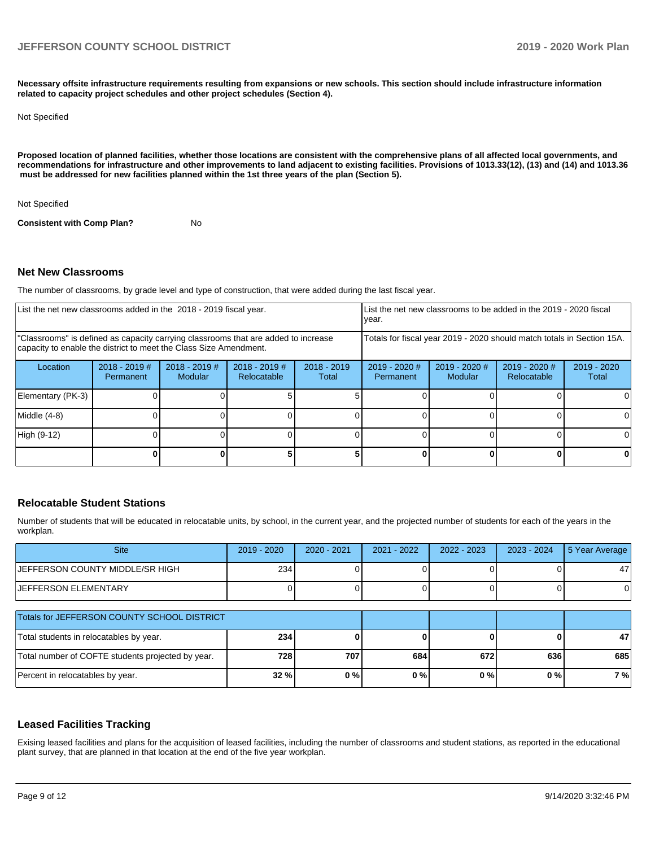**Necessary offsite infrastructure requirements resulting from expansions or new schools. This section should include infrastructure information related to capacity project schedules and other project schedules (Section 4).** 

#### Not Specified

**Proposed location of planned facilities, whether those locations are consistent with the comprehensive plans of all affected local governments, and recommendations for infrastructure and other improvements to land adjacent to existing facilities. Provisions of 1013.33(12), (13) and (14) and 1013.36 must be addressed for new facilities planned within the 1st three years of the plan (Section 5).** 

Not Specified

**Consistent with Comp Plan?** No

#### **Net New Classrooms**

The number of classrooms, by grade level and type of construction, that were added during the last fiscal year.

| List the net new classrooms added in the 2018 - 2019 fiscal year.                                                                                       | List the net new classrooms to be added in the 2019 - 2020 fiscal<br>year. |                                   |                                |                        |                                                                        |                            |                                       |                        |
|---------------------------------------------------------------------------------------------------------------------------------------------------------|----------------------------------------------------------------------------|-----------------------------------|--------------------------------|------------------------|------------------------------------------------------------------------|----------------------------|---------------------------------------|------------------------|
| "Classrooms" is defined as capacity carrying classrooms that are added to increase<br>capacity to enable the district to meet the Class Size Amendment. |                                                                            |                                   |                                |                        | Totals for fiscal year 2019 - 2020 should match totals in Section 15A. |                            |                                       |                        |
| Location                                                                                                                                                | $2018 - 2019$ #<br>Permanent                                               | $2018 - 2019$ #<br><b>Modular</b> | $2018 - 2019$ #<br>Relocatable | $2018 - 2019$<br>Total | $2019 - 2020$ #<br>Permanent                                           | $2019 - 2020$ #<br>Modular | $2019 - 2020$ #<br><b>Relocatable</b> | $2019 - 2020$<br>Total |
| Elementary (PK-3)                                                                                                                                       |                                                                            |                                   |                                |                        |                                                                        |                            |                                       |                        |
| Middle (4-8)                                                                                                                                            |                                                                            |                                   |                                |                        |                                                                        |                            |                                       |                        |
| High (9-12)                                                                                                                                             |                                                                            |                                   |                                |                        |                                                                        |                            |                                       |                        |
|                                                                                                                                                         |                                                                            |                                   |                                |                        |                                                                        |                            |                                       |                        |

#### **Relocatable Student Stations**

Number of students that will be educated in relocatable units, by school, in the current year, and the projected number of students for each of the years in the workplan.

| <b>Site</b>                                       | $2019 - 2020$ | $2020 - 2021$ | $2021 - 2022$ | $2022 - 2023$ | $2023 - 2024$ | 5 Year Average |
|---------------------------------------------------|---------------|---------------|---------------|---------------|---------------|----------------|
| JEFFERSON COUNTY MIDDLE/SR HIGH                   | 234           |               |               |               |               | 47             |
| <b>JEFFERSON ELEMENTARY</b>                       |               |               |               |               |               |                |
| Totals for JEFFERSON COUNTY SCHOOL DISTRICT       |               |               |               |               |               |                |
| Total students in relocatables by year.           | 234           |               |               |               |               | 47             |
| Total number of COFTE students projected by year. | 728           | 707           | 684           | 672           | 636           | 685            |
| Percent in relocatables by year.                  | 32 %          | $0\%$         | 0%            | 0%            | 0%            | 7%             |

#### **Leased Facilities Tracking**

Exising leased facilities and plans for the acquisition of leased facilities, including the number of classrooms and student stations, as reported in the educational plant survey, that are planned in that location at the end of the five year workplan.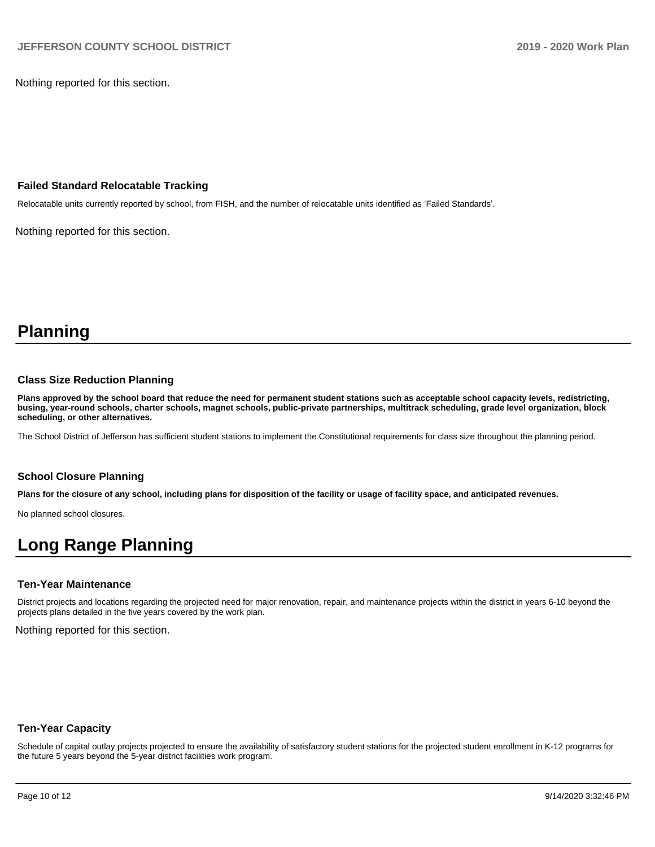Nothing reported for this section.

#### **Failed Standard Relocatable Tracking**

Relocatable units currently reported by school, from FISH, and the number of relocatable units identified as 'Failed Standards'.

Nothing reported for this section.

## **Planning**

#### **Class Size Reduction Planning**

**Plans approved by the school board that reduce the need for permanent student stations such as acceptable school capacity levels, redistricting, busing, year-round schools, charter schools, magnet schools, public-private partnerships, multitrack scheduling, grade level organization, block scheduling, or other alternatives.**

The School District of Jefferson has sufficient student stations to implement the Constitutional requirements for class size throughout the planning period.

#### **School Closure Planning**

**Plans for the closure of any school, including plans for disposition of the facility or usage of facility space, and anticipated revenues.** 

No planned school closures.

## **Long Range Planning**

#### **Ten-Year Maintenance**

District projects and locations regarding the projected need for major renovation, repair, and maintenance projects within the district in years 6-10 beyond the projects plans detailed in the five years covered by the work plan.

Nothing reported for this section.

#### **Ten-Year Capacity**

Schedule of capital outlay projects projected to ensure the availability of satisfactory student stations for the projected student enrollment in K-12 programs for the future 5 years beyond the 5-year district facilities work program.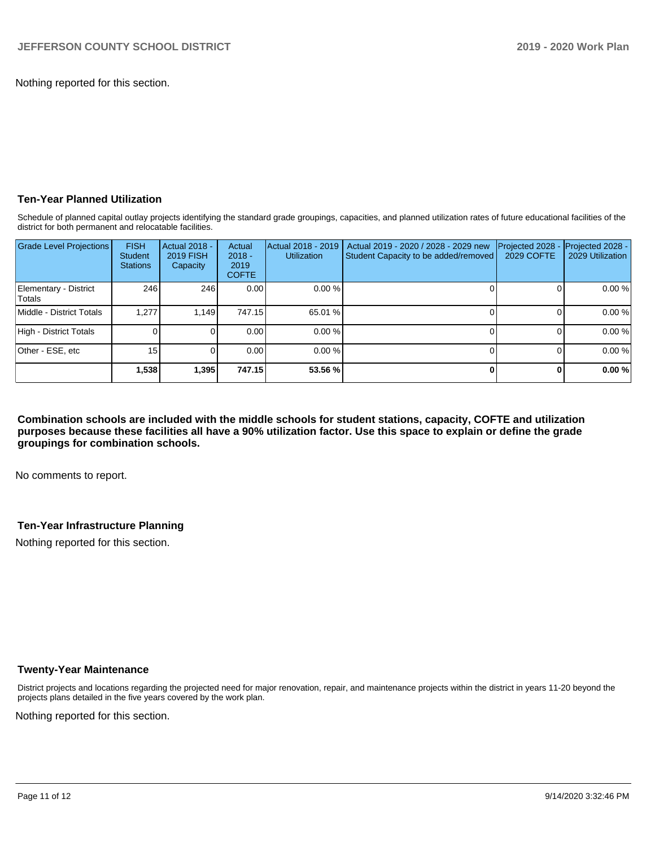Nothing reported for this section.

## **Ten-Year Planned Utilization**

Schedule of planned capital outlay projects identifying the standard grade groupings, capacities, and planned utilization rates of future educational facilities of the district for both permanent and relocatable facilities.

| <b>Grade Level Projections</b>  | <b>FISH</b><br><b>Student</b><br><b>Stations</b> | Actual 2018 -<br><b>2019 FISH</b><br>Capacity | Actual<br>$2018 -$<br>2019<br><b>COFTE</b> | Actual 2018 - 2019<br><b>Utilization</b> | Actual 2019 - 2020 / 2028 - 2029 new<br>Student Capacity to be added/removed | Projected 2028<br><b>2029 COFTE</b> | Projected 2028 -<br>2029 Utilization |
|---------------------------------|--------------------------------------------------|-----------------------------------------------|--------------------------------------------|------------------------------------------|------------------------------------------------------------------------------|-------------------------------------|--------------------------------------|
| Elementary - District<br>Totals | 246                                              | 246                                           | 0.00                                       | 0.00%                                    |                                                                              |                                     | 0.00 %                               |
| Middle - District Totals        | 1.277                                            | 1.149                                         | 747.15                                     | 65.01 %                                  |                                                                              |                                     | 0.00 %                               |
| High - District Totals          |                                                  |                                               | 0.00                                       | 0.00%                                    |                                                                              |                                     | 0.00 %                               |
| Other - ESE. etc                | 15                                               |                                               | 0.00                                       | 0.00%                                    |                                                                              |                                     | 0.00 %                               |
|                                 | 1,538                                            | 1,395                                         | 747.15                                     | 53.56 %                                  |                                                                              |                                     | 0.00%                                |

**Combination schools are included with the middle schools for student stations, capacity, COFTE and utilization purposes because these facilities all have a 90% utilization factor. Use this space to explain or define the grade groupings for combination schools.** 

No comments to report.

## **Ten-Year Infrastructure Planning**

Nothing reported for this section.

#### **Twenty-Year Maintenance**

District projects and locations regarding the projected need for major renovation, repair, and maintenance projects within the district in years 11-20 beyond the projects plans detailed in the five years covered by the work plan.

Nothing reported for this section.